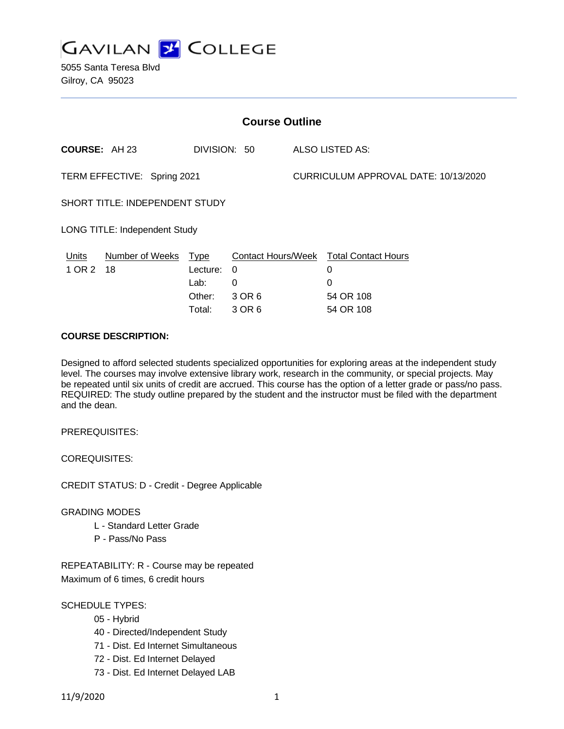

5055 Santa Teresa Blvd Gilroy, CA 95023

| <b>Course Outline</b>                |                 |                                                     |                                                         |                                      |                                                                |
|--------------------------------------|-----------------|-----------------------------------------------------|---------------------------------------------------------|--------------------------------------|----------------------------------------------------------------|
| <b>COURSE: AH 23</b>                 |                 | DIVISION: 50                                        |                                                         |                                      | ALSO LISTED AS:                                                |
| TERM EFFECTIVE: Spring 2021          |                 |                                                     |                                                         | CURRICULUM APPROVAL DATE: 10/13/2020 |                                                                |
| SHORT TITLE: INDEPENDENT STUDY       |                 |                                                     |                                                         |                                      |                                                                |
| <b>LONG TITLE: Independent Study</b> |                 |                                                     |                                                         |                                      |                                                                |
| Units<br>1 OR 2 18                   | Number of Weeks | <u>Type</u><br>Lecture:<br>Lab:<br>Other:<br>Total: | <b>Contact Hours/Week</b><br>0<br>0<br>3 OR 6<br>3 OR 6 |                                      | <b>Total Contact Hours</b><br>0<br>0<br>54 OR 108<br>54 OR 108 |

### **COURSE DESCRIPTION:**

Designed to afford selected students specialized opportunities for exploring areas at the independent study level. The courses may involve extensive library work, research in the community, or special projects. May be repeated until six units of credit are accrued. This course has the option of a letter grade or pass/no pass. REQUIRED: The study outline prepared by the student and the instructor must be filed with the department and the dean.

PREREQUISITES:

COREQUISITES:

CREDIT STATUS: D - Credit - Degree Applicable

#### GRADING MODES

- L Standard Letter Grade
- P Pass/No Pass

REPEATABILITY: R - Course may be repeated Maximum of 6 times, 6 credit hours

### SCHEDULE TYPES:

- 05 Hybrid
- 40 Directed/Independent Study
- 71 Dist. Ed Internet Simultaneous
- 72 Dist. Ed Internet Delayed
- 73 Dist. Ed Internet Delayed LAB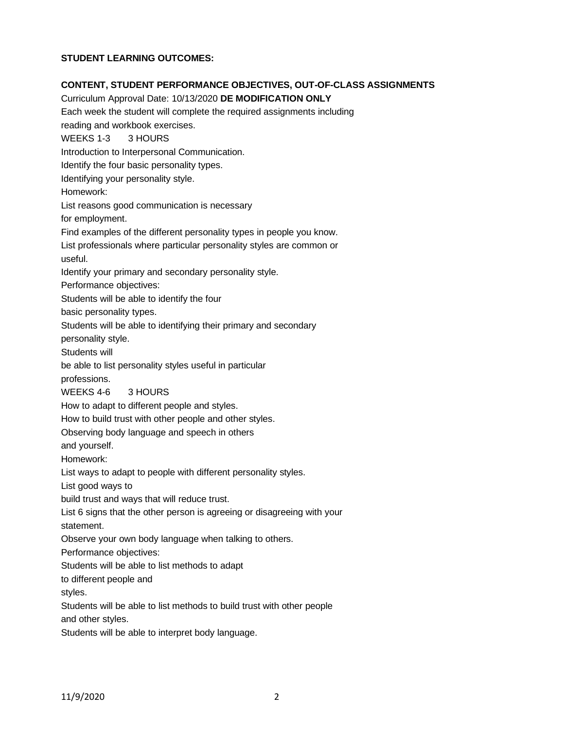# **STUDENT LEARNING OUTCOMES:**

## **CONTENT, STUDENT PERFORMANCE OBJECTIVES, OUT-OF-CLASS ASSIGNMENTS**

Curriculum Approval Date: 10/13/2020 **DE MODIFICATION ONLY** Each week the student will complete the required assignments including reading and workbook exercises. WEEKS 1-3 3 HOURS Introduction to Interpersonal Communication. Identify the four basic personality types. Identifying your personality style. Homework: List reasons good communication is necessary for employment. Find examples of the different personality types in people you know. List professionals where particular personality styles are common or useful. Identify your primary and secondary personality style. Performance objectives: Students will be able to identify the four basic personality types. Students will be able to identifying their primary and secondary personality style. Students will be able to list personality styles useful in particular professions. WEEKS 4-6 3 HOURS How to adapt to different people and styles. How to build trust with other people and other styles. Observing body language and speech in others and yourself. Homework: List ways to adapt to people with different personality styles. List good ways to build trust and ways that will reduce trust. List 6 signs that the other person is agreeing or disagreeing with your statement. Observe your own body language when talking to others. Performance objectives: Students will be able to list methods to adapt to different people and styles. Students will be able to list methods to build trust with other people and other styles. Students will be able to interpret body language.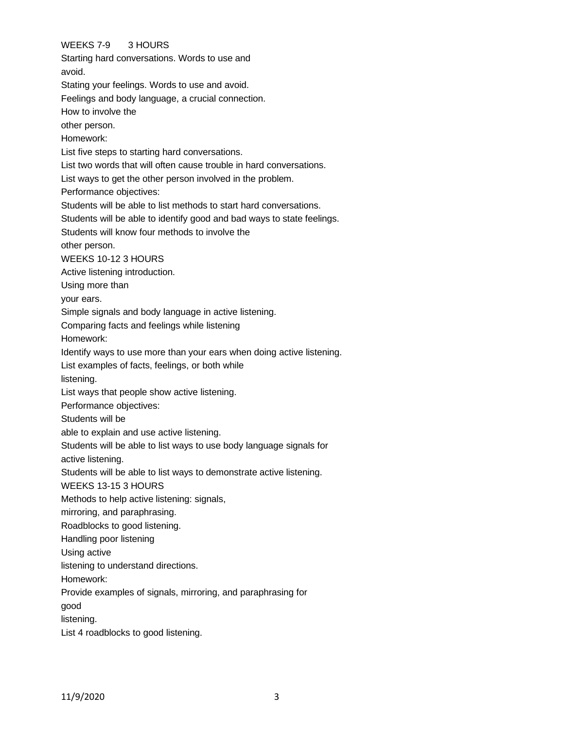# WEEKS 7-9 3 HOURS

Starting hard conversations. Words to use and avoid. Stating your feelings. Words to use and avoid. Feelings and body language, a crucial connection. How to involve the other person. Homework: List five steps to starting hard conversations. List two words that will often cause trouble in hard conversations. List ways to get the other person involved in the problem. Performance objectives: Students will be able to list methods to start hard conversations. Students will be able to identify good and bad ways to state feelings. Students will know four methods to involve the other person. WEEKS 10-12 3 HOURS Active listening introduction. Using more than your ears. Simple signals and body language in active listening. Comparing facts and feelings while listening Homework: Identify ways to use more than your ears when doing active listening. List examples of facts, feelings, or both while listening. List ways that people show active listening. Performance objectives: Students will be able to explain and use active listening. Students will be able to list ways to use body language signals for active listening. Students will be able to list ways to demonstrate active listening. WEEKS 13-15 3 HOURS Methods to help active listening: signals, mirroring, and paraphrasing. Roadblocks to good listening. Handling poor listening Using active listening to understand directions. Homework: Provide examples of signals, mirroring, and paraphrasing for good listening. List 4 roadblocks to good listening.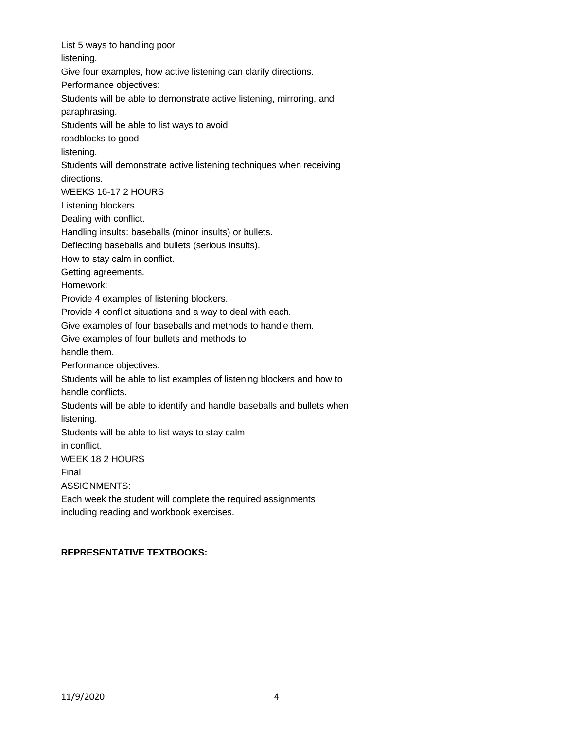List 5 ways to handling poor listening. Give four examples, how active listening can clarify directions. Performance objectives: Students will be able to demonstrate active listening, mirroring, and paraphrasing. Students will be able to list ways to avoid roadblocks to good listening. Students will demonstrate active listening techniques when receiving directions. WEEKS 16-17 2 HOURS Listening blockers. Dealing with conflict. Handling insults: baseballs (minor insults) or bullets. Deflecting baseballs and bullets (serious insults). How to stay calm in conflict. Getting agreements. Homework: Provide 4 examples of listening blockers. Provide 4 conflict situations and a way to deal with each. Give examples of four baseballs and methods to handle them. Give examples of four bullets and methods to handle them. Performance objectives: Students will be able to list examples of listening blockers and how to handle conflicts. Students will be able to identify and handle baseballs and bullets when listening. Students will be able to list ways to stay calm in conflict. WEEK 18 2 HOURS Final ASSIGNMENTS: Each week the student will complete the required assignments including reading and workbook exercises.

### **REPRESENTATIVE TEXTBOOKS:**